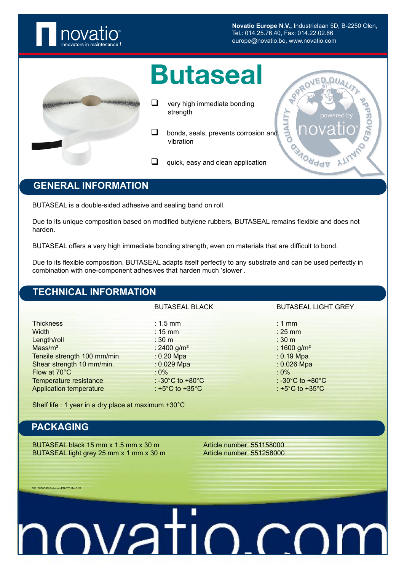

**Novatio Europe N.V.,** Industrielaan 5D, B-2250 Olen, Tel.: 014.25.76.40, Fax: 014.22.02.66 europe@novatio.be, www.novatio.com

### Butaseal

- $\Box$  very high immediate bonding strength
- **bonds, seals, prevents corrosion and** vibration
- $\Box$  quick, easy and clean application



#### **GENERAL INFORMATION**

BUTASEAL is a double-sided adhesive and sealing band on roll.

Due to its unique composition based on modified butylene rubbers, BUTASEAL remains flexible and does not harden.

BUTASEAL offers a very high immediate bonding strength, even on materials that are difficult to bond.

Due to its flexible composition, BUTASEAL adapts itself perfectly to any substrate and can be used perfectly in combination with one-component adhesives that harden much 'slower'.

#### **TECHNICAL INFORMATION**

Thickness : 1.5 mm : 1 mm : 1 mm : 1 mm : 1 mm : 1 mm : 1 mm : 1 mm : 1 mm : 1 mm : 1 mm : 1 mm : 1 mm : 1 mm : 1 mm : 1 mm : 1 mm : 1 mm : 1 mm : 1 mm : 1 mm : 1 mm : 1 mm : 1 mm : 1 mm : 1 mm : 1 mm : 1 mm : 1 mm : 1 mm Width : 15 mm : 25 mm Length/roll : 30 m : 30 m : 30 m : 30 m : 30 m : 30 m : 30 m : 30 m : 30 m : 30 m : 30 m : 30 m : 30 m : 30 m : 30 m : 30 m : 30 m : 30 m : 30 m : 30 m : 30 m : 30 m : 30 m : 30 m : 30 m : 30 m : 30 m : 30 m : 30 m : 30 m  $Mass/m<sup>2</sup>$  : 2400 g/m<sup>2</sup> : 1600 g/m<sup>2</sup> : 1600 g/m<sup>2</sup> Tensile strength 100 mm/min. : 0.20 Mpa : 0.20 Mpa : 0.19 Mpa Shear strength 10 mm/min. : 0.029 Mpa : 0.029 Mpa : 0.026 Mpa Flow at 70°C  $\cdot$  0%  $\cdot$  0%  $\cdot$  0%  $\cdot$  0%  $\cdot$  0%  $\cdot$  0%  $\cdot$  0%  $\cdot$  0%  $\cdot$  0%  $\cdot$  0%  $\cdot$  0%  $\cdot$  0%  $\cdot$  0%  $\cdot$  0 +80°C Temperature resistance : -30°C to +80°C Application temperature :  $+5^{\circ}$ C to  $+35^{\circ}$ C :  $+5^{\circ}$ C to  $+35^{\circ}$ C

BUTASEAL BLACK BUTASEAL LIGHT GREY

Shelf life : 1 year in a dry place at maximum +30°C

### **PACKAGING**

551158000-PI-Butaseal-EN-070114-P1/2

BUTASEAL black 15 mm x 1.5 mm x 30 m Article number 551158000 BUTASEAL light grey 25 mm x 1 mm x 30 m Article number 551258000

# <u>mustin co</u>